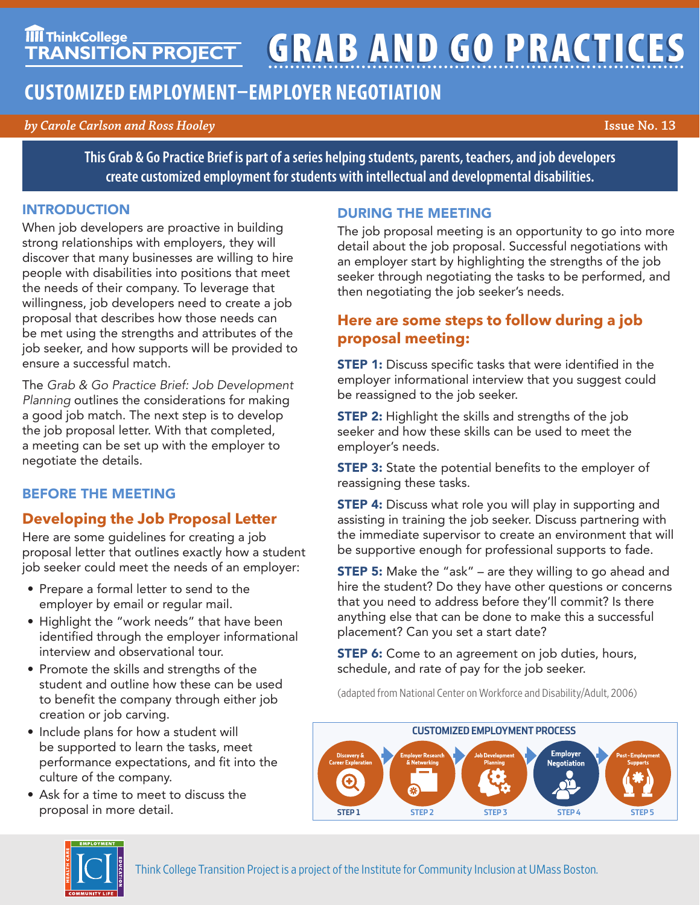# **TIIT ThinkCollege GRAB AND GO PRACTICES**

# **CUSTOMIZED EMPLOYMENT–EMPLOYER NEGOTIATION**

#### *by Carole Carlson and Ross Hooley* **Issue No. 13**

**This Grab & Go Practice Brief is part of a series helping students, parents, teachers, and job developers create customized employment for students with intellectual and developmental disabilities.**

#### INTRODUCTION

When job developers are proactive in building strong relationships with employers, they will discover that many businesses are willing to hire people with disabilities into positions that meet the needs of their company. To leverage that willingness, job developers need to create a job proposal that describes how those needs can be met using the strengths and attributes of the job seeker, and how supports will be provided to ensure a successful match.

The *Grab & Go Practice Brief: Job Development Planning* outlines the considerations for making a good job match. The next step is to develop the job proposal letter. With that completed, a meeting can be set up with the employer to negotiate the details.

## BEFORE THE MEETING

# **Developing the Job Proposal Letter**

Here are some guidelines for creating a job proposal letter that outlines exactly how a student job seeker could meet the needs of an employer:

- Prepare a formal letter to send to the employer by email or regular mail.
- Highlight the "work needs" that have been identified through the employer informational interview and observational tour.
- Promote the skills and strengths of the student and outline how these can be used to benefit the company through either job creation or job carving.
- Include plans for how a student will be supported to learn the tasks, meet performance expectations, and fit into the culture of the company.
- Ask for a time to meet to discuss the proposal in more detail.

#### DURING THE MEETING

The job proposal meeting is an opportunity to go into more detail about the job proposal. Successful negotiations with an employer start by highlighting the strengths of the job seeker through negotiating the tasks to be performed, and then negotiating the job seeker's needs.

## **Here are some steps to follow during a job proposal meeting:**

**STEP 1:** Discuss specific tasks that were identified in the employer informational interview that you suggest could be reassigned to the job seeker.

**STEP 2:** Highlight the skills and strengths of the job seeker and how these skills can be used to meet the employer's needs.

**STEP 3:** State the potential benefits to the employer of reassigning these tasks.

**STEP 4:** Discuss what role you will play in supporting and assisting in training the job seeker. Discuss partnering with the immediate supervisor to create an environment that will be supportive enough for professional supports to fade.

**STEP 5:** Make the "ask" – are they willing to go ahead and hire the student? Do they have other questions or concerns that you need to address before they'll commit? Is there anything else that can be done to make this a successful placement? Can you set a start date?

**STEP 6:** Come to an agreement on job duties, hours, schedule, and rate of pay for the job seeker.

(adapted from National Center on Workforce and Disability/Adult, 2006)



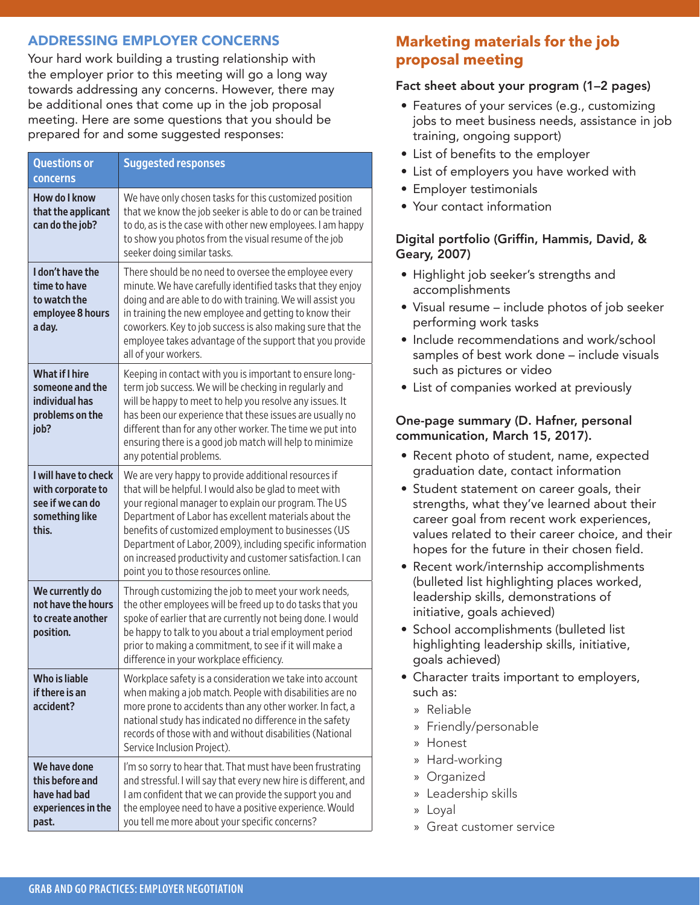#### ADDRESSING EMPLOYER CONCERNS

Your hard work building a trusting relationship with the employer prior to this meeting will go a long way towards addressing any concerns. However, there may be additional ones that come up in the job proposal meeting. Here are some questions that you should be prepared for and some suggested responses:

| <b>Questions or</b><br>concerns                                                          | <b>Suggested responses</b>                                                                                                                                                                                                                                                                                                                                                                                                                                  |
|------------------------------------------------------------------------------------------|-------------------------------------------------------------------------------------------------------------------------------------------------------------------------------------------------------------------------------------------------------------------------------------------------------------------------------------------------------------------------------------------------------------------------------------------------------------|
| <b>How do I know</b><br>that the applicant<br>can do the job?                            | We have only chosen tasks for this customized position<br>that we know the job seeker is able to do or can be trained<br>to do, as is the case with other new employees. I am happy<br>to show you photos from the visual resume of the job<br>seeker doing similar tasks.                                                                                                                                                                                  |
| I don't have the<br>time to have<br>to watch the<br>employee 8 hours<br>a day.           | There should be no need to oversee the employee every<br>minute. We have carefully identified tasks that they enjoy<br>doing and are able to do with training. We will assist you<br>in training the new employee and getting to know their<br>coworkers. Key to job success is also making sure that the<br>employee takes advantage of the support that you provide<br>all of your workers.                                                               |
| <b>What if I hire</b><br>someone and the<br>individual has<br>problems on the<br>job?    | Keeping in contact with you is important to ensure long-<br>term job success. We will be checking in regularly and<br>will be happy to meet to help you resolve any issues. It<br>has been our experience that these issues are usually no<br>different than for any other worker. The time we put into<br>ensuring there is a good job match will help to minimize<br>any potential problems.                                                              |
| I will have to check<br>with corporate to<br>see if we can do<br>something like<br>this. | We are very happy to provide additional resources if<br>that will be helpful. I would also be glad to meet with<br>your regional manager to explain our program. The US<br>Department of Labor has excellent materials about the<br>benefits of customized employment to businesses (US<br>Department of Labor, 2009), including specific information<br>on increased productivity and customer satisfaction. I can<br>point you to those resources online. |
| We currently do<br>not have the hours<br>to create another<br>position.                  | Through customizing the job to meet your work needs,<br>the other employees will be freed up to do tasks that you<br>spoke of earlier that are currently not being done. I would<br>be happy to talk to you about a trial employment period<br>prior to making a commitment, to see if it will make a<br>difference in your workplace efficiency.                                                                                                           |
| <b>Who is liable</b><br>if there is an<br>accident?                                      | Workplace safety is a consideration we take into account<br>when making a job match. People with disabilities are no<br>more prone to accidents than any other worker. In fact, a<br>national study has indicated no difference in the safety<br>records of those with and without disabilities (National<br>Service Inclusion Project).                                                                                                                    |
| We have done<br>this before and<br>have had bad<br>experiences in the<br>past.           | I'm so sorry to hear that. That must have been frustrating<br>and stressful. I will say that every new hire is different, and<br>I am confident that we can provide the support you and<br>the employee need to have a positive experience. Would<br>you tell me more about your specific concerns?                                                                                                                                                         |

# **Marketing materials for the job proposal meeting**

#### Fact sheet about your program (1–2 pages)

- Features of your services (e.g., customizing jobs to meet business needs, assistance in job training, ongoing support)
- List of benefits to the employer
- List of employers you have worked with
- Employer testimonials
- Your contact information

#### Digital portfolio (Griffin, Hammis, David, & Geary, 2007)

- Highlight job seeker's strengths and accomplishments
- Visual resume include photos of job seeker performing work tasks
- Include recommendations and work/school samples of best work done – include visuals such as pictures or video
- List of companies worked at previously

#### One-page summary (D. Hafner, personal communication, March 15, 2017).

- Recent photo of student, name, expected graduation date, contact information
- Student statement on career goals, their strengths, what they've learned about their career goal from recent work experiences, values related to their career choice, and their hopes for the future in their chosen field.
- Recent work/internship accomplishments (bulleted list highlighting places worked, leadership skills, demonstrations of initiative, goals achieved)
- School accomplishments (bulleted list highlighting leadership skills, initiative, goals achieved)
- Character traits important to employers, such as:
	- » Reliable
	- » Friendly/personable
	- » Honest
	- » Hard-working
	- » Organized
	- » Leadership skills
	- » Loyal
	- » Great customer service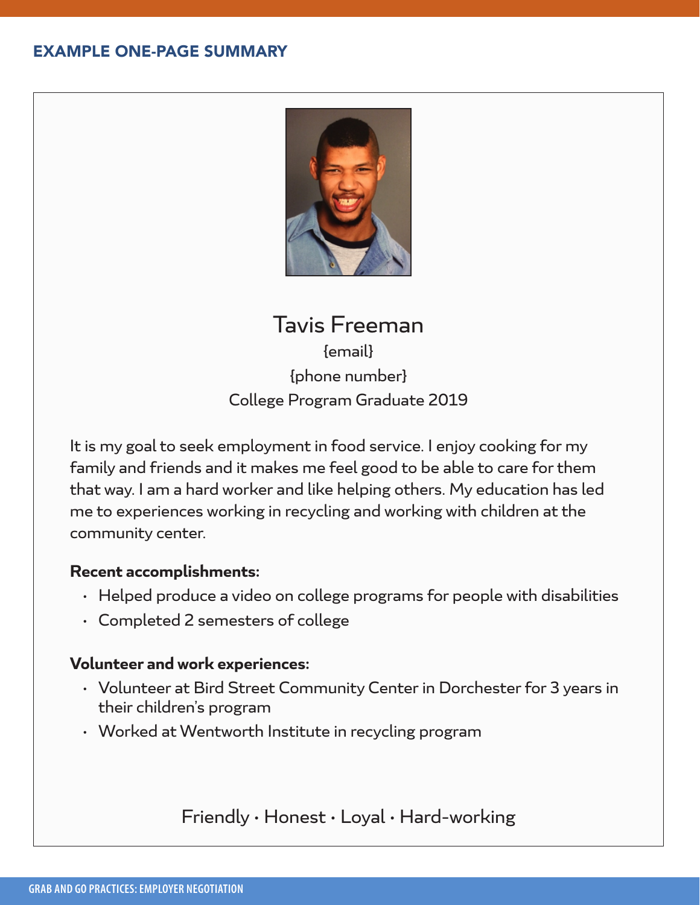# EXAMPLE ONE-PAGE SUMMARY



# Tavis Freeman {email} {phone number} College Program Graduate 2019

It is my goal to seek employment in food service. I enjoy cooking for my family and friends and it makes me feel good to be able to care for them that way. I am a hard worker and like helping others. My education has led me to experiences working in recycling and working with children at the community center.

## **Recent accomplishments:**

- Helped produce a video on college programs for people with disabilities
- Completed 2 semesters of college

# **Volunteer and work experiences:**

- Volunteer at Bird Street Community Center in Dorchester for 3 years in their children's program
- Worked at Wentworth Institute in recycling program

# Friendly • Honest • Loyal • Hard-working